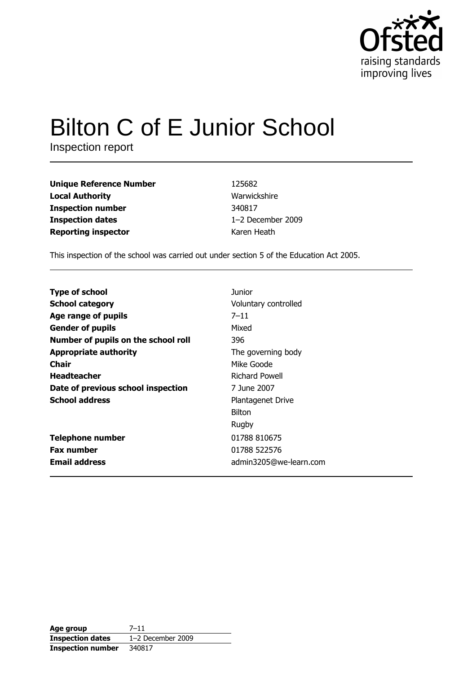

# **Bilton C of E Junior School**

Inspection report

| <b>Unique Reference Number</b> |
|--------------------------------|
| <b>Local Authority</b>         |
| <b>Inspection number</b>       |
| <b>Inspection dates</b>        |
| <b>Reporting inspector</b>     |

125682 Warwickshire 340817 1-2 December 2009 Karen Heath

This inspection of the school was carried out under section 5 of the Education Act 2005.

| <b>Type of school</b>               | Junior                   |
|-------------------------------------|--------------------------|
| <b>School category</b>              | Voluntary controlled     |
| Age range of pupils                 | $7 - 11$                 |
| <b>Gender of pupils</b>             | Mixed                    |
| Number of pupils on the school roll | 396                      |
| <b>Appropriate authority</b>        | The governing body       |
| Chair                               | Mike Goode               |
| <b>Headteacher</b>                  | Richard Powell           |
| Date of previous school inspection  | 7 June 2007              |
| <b>School address</b>               | <b>Plantagenet Drive</b> |
|                                     | <b>Bilton</b>            |
|                                     | Rugby                    |
| <b>Telephone number</b>             | 01788 810675             |
| <b>Fax number</b>                   | 01788 522576             |
| <b>Email address</b>                | admin3205@we-learn.com   |

| Age group                | $7 - 11$            |
|--------------------------|---------------------|
| <b>Inspection dates</b>  | $1-2$ December 2009 |
| <b>Inspection number</b> | 340817              |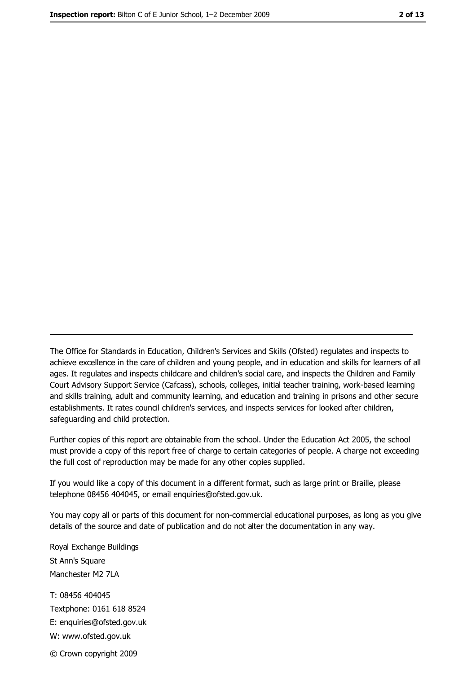The Office for Standards in Education, Children's Services and Skills (Ofsted) regulates and inspects to achieve excellence in the care of children and young people, and in education and skills for learners of all ages. It regulates and inspects childcare and children's social care, and inspects the Children and Family Court Advisory Support Service (Cafcass), schools, colleges, initial teacher training, work-based learning and skills training, adult and community learning, and education and training in prisons and other secure establishments. It rates council children's services, and inspects services for looked after children, safequarding and child protection.

Further copies of this report are obtainable from the school. Under the Education Act 2005, the school must provide a copy of this report free of charge to certain categories of people. A charge not exceeding the full cost of reproduction may be made for any other copies supplied.

If you would like a copy of this document in a different format, such as large print or Braille, please telephone 08456 404045, or email enquiries@ofsted.gov.uk.

You may copy all or parts of this document for non-commercial educational purposes, as long as you give details of the source and date of publication and do not alter the documentation in any way.

Royal Exchange Buildings St Ann's Square Manchester M2 7LA T: 08456 404045 Textphone: 0161 618 8524 E: enquiries@ofsted.gov.uk W: www.ofsted.gov.uk © Crown copyright 2009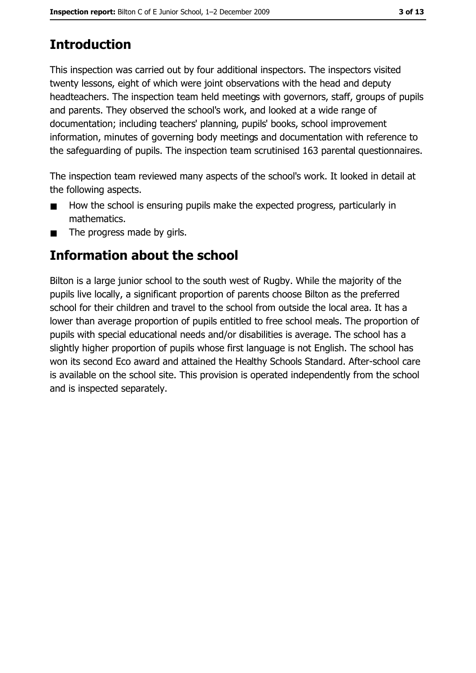# **Introduction**

This inspection was carried out by four additional inspectors. The inspectors visited twenty lessons, eight of which were joint observations with the head and deputy headteachers. The inspection team held meetings with governors, staff, groups of pupils and parents. They observed the school's work, and looked at a wide range of documentation; including teachers' planning, pupils' books, school improvement information, minutes of governing body meetings and documentation with reference to the safeguarding of pupils. The inspection team scrutinised 163 parental questionnaires.

The inspection team reviewed many aspects of the school's work. It looked in detail at the following aspects.

- How the school is ensuring pupils make the expected progress, particularly in mathematics.
- The progress made by girls.  $\blacksquare$

# Information about the school

Bilton is a large junior school to the south west of Rugby. While the majority of the pupils live locally, a significant proportion of parents choose Bilton as the preferred school for their children and travel to the school from outside the local area. It has a lower than average proportion of pupils entitled to free school meals. The proportion of pupils with special educational needs and/or disabilities is average. The school has a slightly higher proportion of pupils whose first language is not English. The school has won its second Eco award and attained the Healthy Schools Standard. After-school care is available on the school site. This provision is operated independently from the school and is inspected separately.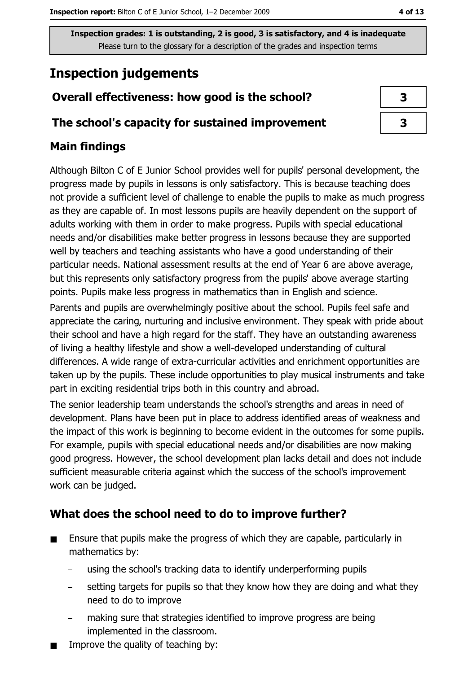# **Inspection judgements**

# Overall effectiveness: how good is the school?

#### The school's capacity for sustained improvement

## **Main findings**

Although Bilton C of E Junior School provides well for pupils' personal development, the progress made by pupils in lessons is only satisfactory. This is because teaching does not provide a sufficient level of challenge to enable the pupils to make as much progress as they are capable of. In most lessons pupils are heavily dependent on the support of adults working with them in order to make progress. Pupils with special educational needs and/or disabilities make better progress in lessons because they are supported well by teachers and teaching assistants who have a good understanding of their particular needs. National assessment results at the end of Year 6 are above average, but this represents only satisfactory progress from the pupils' above average starting points. Pupils make less progress in mathematics than in English and science.

Parents and pupils are overwhelmingly positive about the school. Pupils feel safe and appreciate the caring, nurturing and inclusive environment. They speak with pride about their school and have a high regard for the staff. They have an outstanding awareness of living a healthy lifestyle and show a well-developed understanding of cultural differences. A wide range of extra-curricular activities and enrichment opportunities are taken up by the pupils. These include opportunities to play musical instruments and take part in exciting residential trips both in this country and abroad.

The senior leadership team understands the school's strengths and areas in need of development. Plans have been put in place to address identified areas of weakness and the impact of this work is beginning to become evident in the outcomes for some pupils. For example, pupils with special educational needs and/or disabilities are now making good progress. However, the school development plan lacks detail and does not include sufficient measurable criteria against which the success of the school's improvement work can be judged.

## What does the school need to do to improve further?

- Ensure that pupils make the progress of which they are capable, particularly in  $\blacksquare$ mathematics by:
	- using the school's tracking data to identify underperforming pupils
	- setting targets for pupils so that they know how they are doing and what they need to do to improve
	- making sure that strategies identified to improve progress are being implemented in the classroom.
- Improve the quality of teaching by: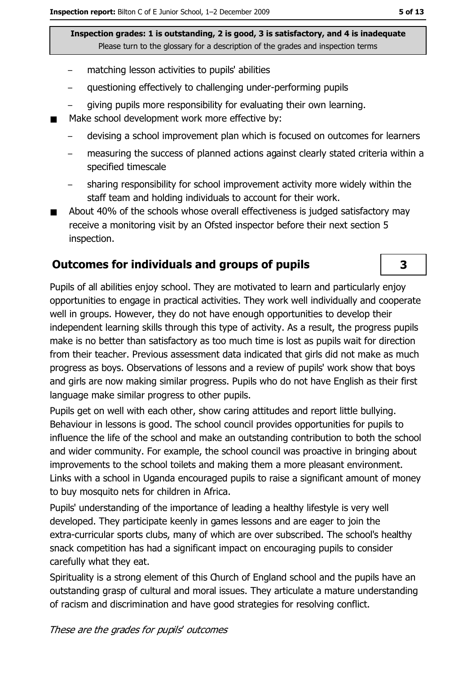- matching lesson activities to pupils' abilities
- questioning effectively to challenging under-performing pupils  $\equiv$
- giving pupils more responsibility for evaluating their own learning.
- Make school development work more effective by:
	- devising a school improvement plan which is focused on outcomes for learners
	- measuring the success of planned actions against clearly stated criteria within a specified timescale
	- sharing responsibility for school improvement activity more widely within the staff team and holding individuals to account for their work.
- About 40% of the schools whose overall effectiveness is judged satisfactory may  $\blacksquare$ receive a monitoring visit by an Ofsted inspector before their next section 5 inspection.

#### **Outcomes for individuals and groups of pupils**

Pupils of all abilities enjoy school. They are motivated to learn and particularly enjoy opportunities to engage in practical activities. They work well individually and cooperate well in groups. However, they do not have enough opportunities to develop their independent learning skills through this type of activity. As a result, the progress pupils make is no better than satisfactory as too much time is lost as pupils wait for direction from their teacher. Previous assessment data indicated that girls did not make as much progress as boys. Observations of lessons and a review of pupils' work show that boys and girls are now making similar progress. Pupils who do not have English as their first language make similar progress to other pupils.

Pupils get on well with each other, show caring attitudes and report little bullying. Behaviour in lessons is good. The school council provides opportunities for pupils to influence the life of the school and make an outstanding contribution to both the school and wider community. For example, the school council was proactive in bringing about improvements to the school toilets and making them a more pleasant environment. Links with a school in Uganda encouraged pupils to raise a significant amount of money to buy mosquito nets for children in Africa.

Pupils' understanding of the importance of leading a healthy lifestyle is very well developed. They participate keenly in games lessons and are eager to join the extra-curricular sports clubs, many of which are over subscribed. The school's healthy snack competition has had a significant impact on encouraging pupils to consider carefully what they eat.

Spirituality is a strong element of this Church of England school and the pupils have an outstanding grasp of cultural and moral issues. They articulate a mature understanding of racism and discrimination and have good strategies for resolving conflict.

3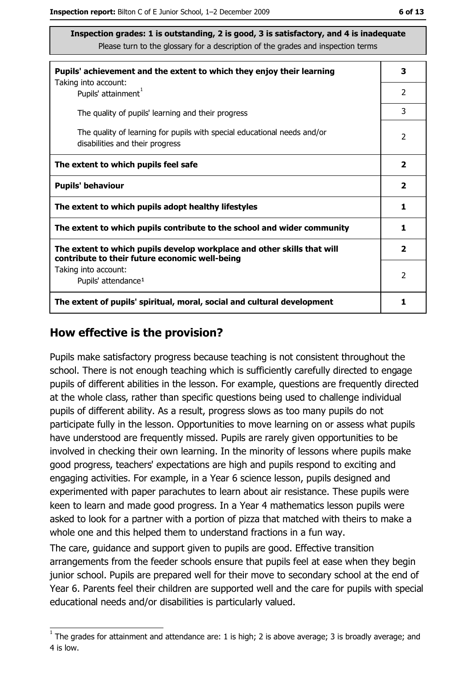| Pupils' achievement and the extent to which they enjoy their learning                                                     | 3                       |
|---------------------------------------------------------------------------------------------------------------------------|-------------------------|
| Taking into account:<br>Pupils' attainment <sup>1</sup>                                                                   | $\overline{2}$          |
| The quality of pupils' learning and their progress                                                                        | 3                       |
| The quality of learning for pupils with special educational needs and/or<br>disabilities and their progress               | 2                       |
| The extent to which pupils feel safe                                                                                      | $\mathbf{2}$            |
| <b>Pupils' behaviour</b>                                                                                                  | $\overline{2}$          |
| The extent to which pupils adopt healthy lifestyles                                                                       | 1                       |
| The extent to which pupils contribute to the school and wider community                                                   |                         |
| The extent to which pupils develop workplace and other skills that will<br>contribute to their future economic well-being | $\overline{\mathbf{2}}$ |
| Taking into account:<br>Pupils' attendance <sup>1</sup>                                                                   | $\overline{2}$          |
| The extent of pupils' spiritual, moral, social and cultural development                                                   | 1                       |

#### How effective is the provision?

Pupils make satisfactory progress because teaching is not consistent throughout the school. There is not enough teaching which is sufficiently carefully directed to engage pupils of different abilities in the lesson. For example, questions are frequently directed at the whole class, rather than specific questions being used to challenge individual pupils of different ability. As a result, progress slows as too many pupils do not participate fully in the lesson. Opportunities to move learning on or assess what pupils have understood are frequently missed. Pupils are rarely given opportunities to be involved in checking their own learning. In the minority of lessons where pupils make good progress, teachers' expectations are high and pupils respond to exciting and engaging activities. For example, in a Year 6 science lesson, pupils designed and experimented with paper parachutes to learn about air resistance. These pupils were keen to learn and made good progress. In a Year 4 mathematics lesson pupils were asked to look for a partner with a portion of pizza that matched with theirs to make a whole one and this helped them to understand fractions in a fun way.

The care, guidance and support given to pupils are good. Effective transition arrangements from the feeder schools ensure that pupils feel at ease when they begin junior school. Pupils are prepared well for their move to secondary school at the end of Year 6. Parents feel their children are supported well and the care for pupils with special educational needs and/or disabilities is particularly valued.

 $1$  The arades for attainment and attendance are: 1 is high; 2 is above average; 3 is broadly average; and 4 is low.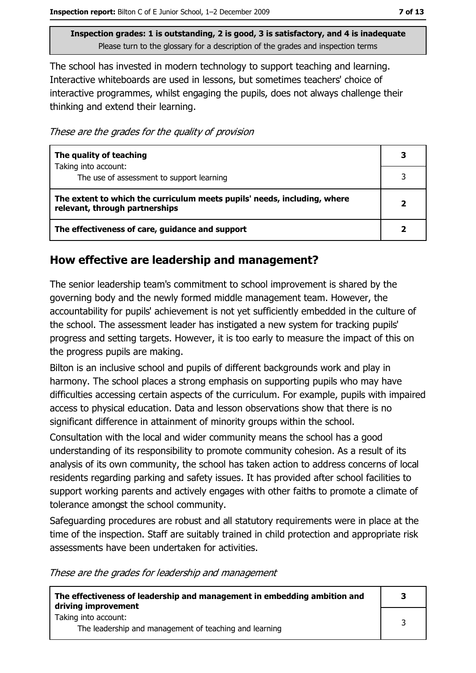The school has invested in modern technology to support teaching and learning. Interactive whiteboards are used in lessons, but sometimes teachers' choice of interactive programmes, whilst engaging the pupils, does not always challenge their thinking and extend their learning.

These are the grades for the quality of provision

| The quality of teaching                                                                                    | 3            |
|------------------------------------------------------------------------------------------------------------|--------------|
| Taking into account:<br>The use of assessment to support learning                                          |              |
| The extent to which the curriculum meets pupils' needs, including, where<br>relevant, through partnerships | $\mathbf{2}$ |
| The effectiveness of care, guidance and support                                                            |              |

#### How effective are leadership and management?

The senior leadership team's commitment to school improvement is shared by the governing body and the newly formed middle management team. However, the accountability for pupils' achievement is not yet sufficiently embedded in the culture of the school. The assessment leader has instigated a new system for tracking pupils' progress and setting targets. However, it is too early to measure the impact of this on the progress pupils are making.

Bilton is an inclusive school and pupils of different backgrounds work and play in harmony. The school places a strong emphasis on supporting pupils who may have difficulties accessing certain aspects of the curriculum. For example, pupils with impaired access to physical education. Data and lesson observations show that there is no significant difference in attainment of minority groups within the school.

Consultation with the local and wider community means the school has a good understanding of its responsibility to promote community cohesion. As a result of its analysis of its own community, the school has taken action to address concerns of local residents regarding parking and safety issues. It has provided after school facilities to support working parents and actively engages with other faiths to promote a climate of tolerance amongst the school community.

Safeguarding procedures are robust and all statutory requirements were in place at the time of the inspection. Staff are suitably trained in child protection and appropriate risk assessments have been undertaken for activities.

These are the grades for leadership and management

| The effectiveness of leadership and management in embedding ambition and<br>driving improvement | 3 |
|-------------------------------------------------------------------------------------------------|---|
| Taking into account:<br>The leadership and management of teaching and learning                  |   |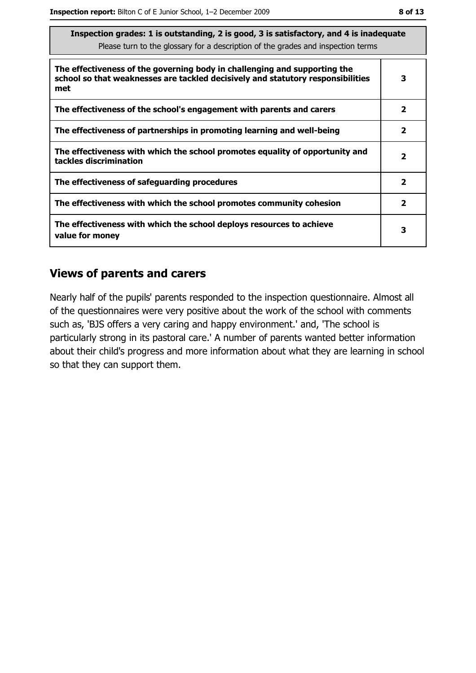| The faction grades: 1 is outstanding, 2 is good, 3 is satisfactory, and 4 is inadequate<br>Please turn to the glossary for a description of the grades and inspection terms |                         |  |
|-----------------------------------------------------------------------------------------------------------------------------------------------------------------------------|-------------------------|--|
| The effectiveness of the governing body in challenging and supporting the<br>school so that weaknesses are tackled decisively and statutory responsibilities<br>met         | 3                       |  |
| The effectiveness of the school's engagement with parents and carers                                                                                                        | $\mathbf{2}$            |  |
| The effectiveness of partnerships in promoting learning and well-being                                                                                                      | 2                       |  |
| The effectiveness with which the school promotes equality of opportunity and<br>tackles discrimination                                                                      | 2                       |  |
| The effectiveness of safeguarding procedures                                                                                                                                | $\overline{\mathbf{2}}$ |  |
| The effectiveness with which the school promotes community cohesion                                                                                                         | $\overline{\mathbf{2}}$ |  |
| The effectiveness with which the school deploys resources to achieve<br>value for money                                                                                     | 3                       |  |

#### **Views of parents and carers**

Nearly half of the pupils' parents responded to the inspection questionnaire. Almost all of the questionnaires were very positive about the work of the school with comments such as, 'BJS offers a very caring and happy environment.' and, 'The school is particularly strong in its pastoral care.' A number of parents wanted better information about their child's progress and more information about what they are learning in school so that they can support them.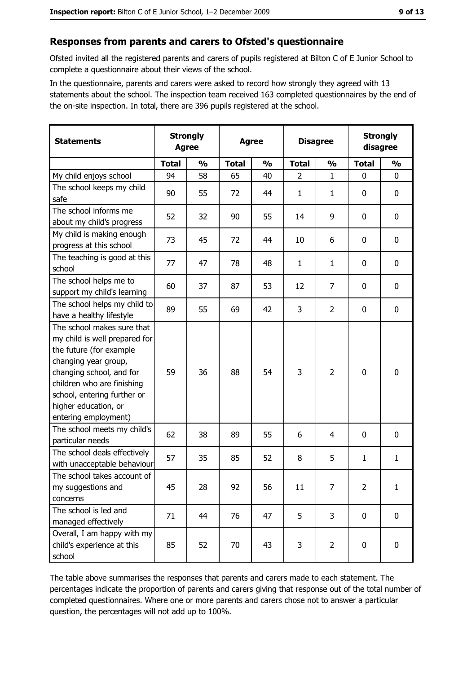## Responses from parents and carers to Ofsted's questionnaire

Ofsted invited all the registered parents and carers of pupils registered at Bilton C of E Junior School to complete a questionnaire about their views of the school.

In the questionnaire, parents and carers were asked to record how strongly they agreed with 13 statements about the school. The inspection team received 163 completed questionnaires by the end of the on-site inspection. In total, there are 396 pupils registered at the school.

| <b>Statements</b>                                                                                                                                                                                                                                       | <b>Strongly</b><br><b>Agree</b> |               | <b>Agree</b> |               | <b>Disagree</b> |                | <b>Strongly</b><br>disagree |               |
|---------------------------------------------------------------------------------------------------------------------------------------------------------------------------------------------------------------------------------------------------------|---------------------------------|---------------|--------------|---------------|-----------------|----------------|-----------------------------|---------------|
|                                                                                                                                                                                                                                                         | <b>Total</b>                    | $\frac{0}{0}$ | <b>Total</b> | $\frac{0}{0}$ | <b>Total</b>    | $\frac{1}{2}$  | <b>Total</b>                | $\frac{0}{0}$ |
| My child enjoys school                                                                                                                                                                                                                                  | 94                              | 58            | 65           | 40            | $\overline{2}$  | $\mathbf{1}$   | $\mathbf{0}$                | $\mathbf{0}$  |
| The school keeps my child<br>safe                                                                                                                                                                                                                       | 90                              | 55            | 72           | 44            | 1               | 1              | 0                           | $\mathbf 0$   |
| The school informs me<br>about my child's progress                                                                                                                                                                                                      | 52                              | 32            | 90           | 55            | 14              | 9              | 0                           | 0             |
| My child is making enough<br>progress at this school                                                                                                                                                                                                    | 73                              | 45            | 72           | 44            | 10              | 6              | 0                           | $\mathbf 0$   |
| The teaching is good at this<br>school                                                                                                                                                                                                                  | 77                              | 47            | 78           | 48            | 1               | 1              | 0                           | $\mathbf 0$   |
| The school helps me to<br>support my child's learning                                                                                                                                                                                                   | 60                              | 37            | 87           | 53            | 12              | 7              | 0                           | $\mathbf 0$   |
| The school helps my child to<br>have a healthy lifestyle                                                                                                                                                                                                | 89                              | 55            | 69           | 42            | 3               | $\overline{2}$ | 0                           | $\mathbf 0$   |
| The school makes sure that<br>my child is well prepared for<br>the future (for example<br>changing year group,<br>changing school, and for<br>children who are finishing<br>school, entering further or<br>higher education, or<br>entering employment) | 59                              | 36            | 88           | 54            | 3               | $\overline{2}$ | $\mathbf 0$                 | $\mathbf 0$   |
| The school meets my child's<br>particular needs                                                                                                                                                                                                         | 62                              | 38            | 89           | 55            | 6               | 4              | 0                           | $\mathbf 0$   |
| The school deals effectively<br>with unacceptable behaviour                                                                                                                                                                                             | 57                              | 35            | 85           | 52            | 8               | 5              | 1                           | $\mathbf{1}$  |
| The school takes account of<br>my suggestions and<br>concerns                                                                                                                                                                                           | 45                              | 28            | 92           | 56            | 11              | 7              | $\overline{2}$              | $\mathbf{1}$  |
| The school is led and<br>managed effectively                                                                                                                                                                                                            | 71                              | 44            | 76           | 47            | 5               | 3              | $\mathbf 0$                 | $\mathbf 0$   |
| Overall, I am happy with my<br>child's experience at this<br>school                                                                                                                                                                                     | 85                              | 52            | 70           | 43            | 3               | $\overline{2}$ | $\mathbf 0$                 | $\mathbf 0$   |

The table above summarises the responses that parents and carers made to each statement. The percentages indicate the proportion of parents and carers giving that response out of the total number of completed questionnaires. Where one or more parents and carers chose not to answer a particular question, the percentages will not add up to 100%.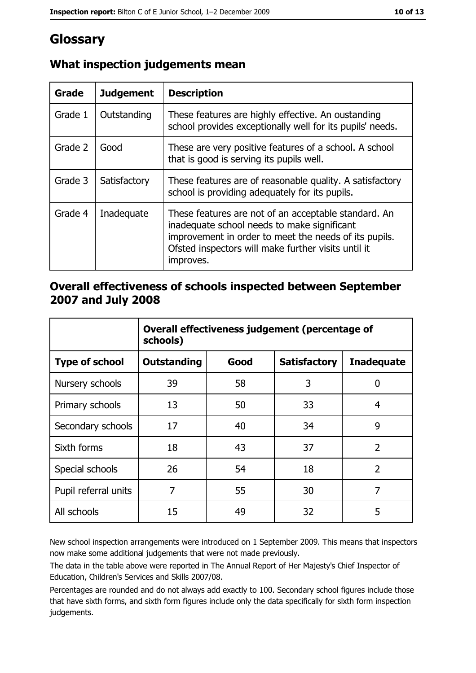# Glossary

| <b>Grade</b> | <b>Judgement</b> | <b>Description</b>                                                                                                                                                                                                               |  |
|--------------|------------------|----------------------------------------------------------------------------------------------------------------------------------------------------------------------------------------------------------------------------------|--|
| Grade 1      | Outstanding      | These features are highly effective. An oustanding<br>school provides exceptionally well for its pupils' needs.                                                                                                                  |  |
| Grade 2      | Good             | These are very positive features of a school. A school<br>that is good is serving its pupils well.                                                                                                                               |  |
| Grade 3      | Satisfactory     | These features are of reasonable quality. A satisfactory<br>school is providing adequately for its pupils.                                                                                                                       |  |
| Grade 4      | Inadequate       | These features are not of an acceptable standard. An<br>inadequate school needs to make significant<br>improvement in order to meet the needs of its pupils.<br>Ofsted inspectors will make further visits until it<br>improves. |  |

## What inspection judgements mean

### Overall effectiveness of schools inspected between September 2007 and July 2008

|                       | Overall effectiveness judgement (percentage of<br>schools) |      |                     |                   |
|-----------------------|------------------------------------------------------------|------|---------------------|-------------------|
| <b>Type of school</b> | Outstanding                                                | Good | <b>Satisfactory</b> | <b>Inadequate</b> |
| Nursery schools       | 39                                                         | 58   | 3                   | 0                 |
| Primary schools       | 13                                                         | 50   | 33                  | 4                 |
| Secondary schools     | 17                                                         | 40   | 34                  | 9                 |
| Sixth forms           | 18                                                         | 43   | 37                  | $\overline{2}$    |
| Special schools       | 26                                                         | 54   | 18                  | $\overline{2}$    |
| Pupil referral units  | 7                                                          | 55   | 30                  | 7                 |
| All schools           | 15                                                         | 49   | 32                  | 5                 |

New school inspection arrangements were introduced on 1 September 2009. This means that inspectors now make some additional judgements that were not made previously.

The data in the table above were reported in The Annual Report of Her Majesty's Chief Inspector of Education, Children's Services and Skills 2007/08.

Percentages are rounded and do not always add exactly to 100. Secondary school figures include those that have sixth forms, and sixth form figures include only the data specifically for sixth form inspection judgements.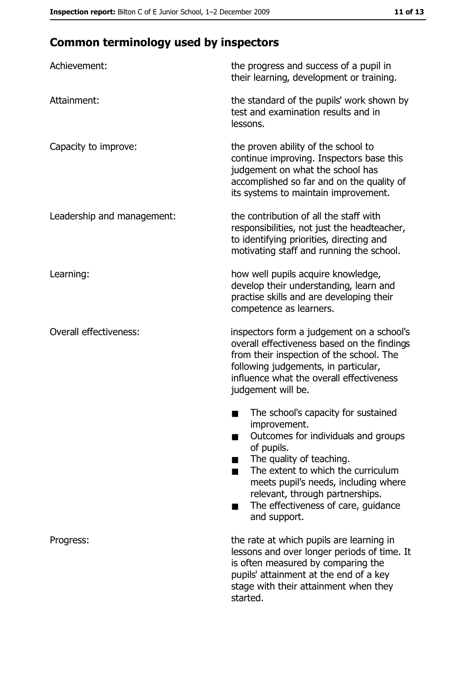# **Common terminology used by inspectors**

| Achievement:                  | the progress and success of a pupil in<br>their learning, development or training.                                                                                                                                                                                                                           |
|-------------------------------|--------------------------------------------------------------------------------------------------------------------------------------------------------------------------------------------------------------------------------------------------------------------------------------------------------------|
| Attainment:                   | the standard of the pupils' work shown by<br>test and examination results and in<br>lessons.                                                                                                                                                                                                                 |
| Capacity to improve:          | the proven ability of the school to<br>continue improving. Inspectors base this<br>judgement on what the school has<br>accomplished so far and on the quality of<br>its systems to maintain improvement.                                                                                                     |
| Leadership and management:    | the contribution of all the staff with<br>responsibilities, not just the headteacher,<br>to identifying priorities, directing and<br>motivating staff and running the school.                                                                                                                                |
| Learning:                     | how well pupils acquire knowledge,<br>develop their understanding, learn and<br>practise skills and are developing their<br>competence as learners.                                                                                                                                                          |
| <b>Overall effectiveness:</b> | inspectors form a judgement on a school's<br>overall effectiveness based on the findings<br>from their inspection of the school. The<br>following judgements, in particular,<br>influence what the overall effectiveness<br>judgement will be.                                                               |
|                               | The school's capacity for sustained<br>improvement.<br>Outcomes for individuals and groups<br>of pupils.<br>The quality of teaching.<br>The extent to which the curriculum<br>meets pupil's needs, including where<br>relevant, through partnerships.<br>The effectiveness of care, guidance<br>and support. |
| Progress:                     | the rate at which pupils are learning in<br>lessons and over longer periods of time. It<br>is often measured by comparing the<br>pupils' attainment at the end of a key<br>stage with their attainment when they<br>started.                                                                                 |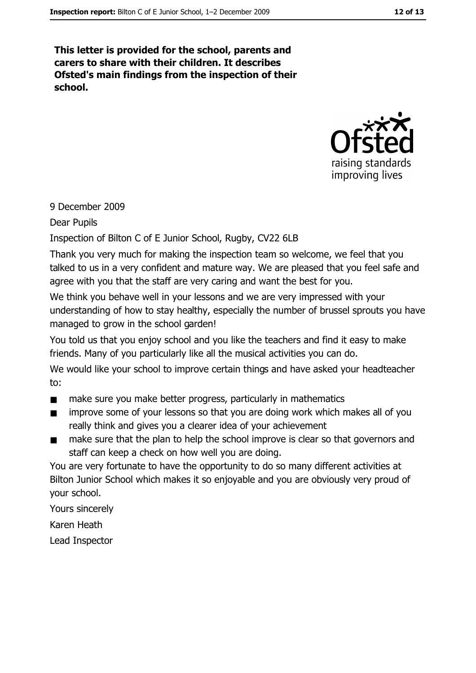This letter is provided for the school, parents and carers to share with their children. It describes Ofsted's main findings from the inspection of their school.



## 9 December 2009

#### **Dear Pupils**

Inspection of Bilton C of E Junior School, Rugby, CV22 6LB

Thank you very much for making the inspection team so welcome, we feel that you talked to us in a very confident and mature way. We are pleased that you feel safe and agree with you that the staff are very caring and want the best for you.

We think you behave well in your lessons and we are very impressed with your understanding of how to stay healthy, especially the number of brussel sprouts you have managed to grow in the school garden!

You told us that you enjoy school and you like the teachers and find it easy to make friends. Many of you particularly like all the musical activities you can do.

We would like your school to improve certain things and have asked your headteacher to:

- $\blacksquare$ make sure you make better progress, particularly in mathematics
- improve some of your lessons so that you are doing work which makes all of you  $\blacksquare$ really think and gives you a clearer idea of your achievement
- make sure that the plan to help the school improve is clear so that governors and  $\blacksquare$ staff can keep a check on how well you are doing.

You are very fortunate to have the opportunity to do so many different activities at Bilton Junior School which makes it so enjoyable and you are obviously very proud of your school.

Yours sincerely Karen Heath

Lead Inspector